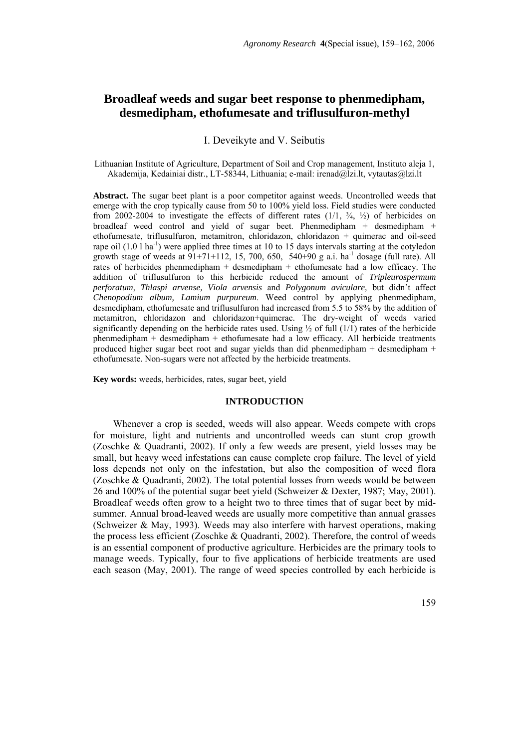# **Broadleaf weeds and sugar beet response to phenmedipham, desmedipham, ethofumesate and triflusulfuron-methyl**

## I. Deveikyte and V. Seibutis

Lithuanian Institute of Agriculture, Department of Soil and Crop management, Instituto aleja 1, Akademija, Kedainiai distr., LT-58344, Lithuania; e-mail: irenad@lzi.lt, vytautas@lzi.lt

**Abstract.** The sugar beet plant is a poor competitor against weeds. Uncontrolled weeds that emerge with the crop typically cause from 50 to 100% yield loss. Field studies were conducted from 2002-2004 to investigate the effects of different rates  $(1/1, \frac{3}{4}, \frac{1}{2})$  of herbicides on broadleaf weed control and yield of sugar beet. Phenmedipham + desmedipham + ethofumesate, triflusulfuron, metamitron, chloridazon, chloridazon + quimerac and oil-seed rape oil  $(1.0 \text{ l} \text{ ha}^{-1})$  were applied three times at 10 to 15 days intervals starting at the cotyledon growth stage of weeds at  $91+71+112$ , 15, 700, 650, 540+90 g a.i. ha<sup>-1</sup> dosage (full rate). All rates of herbicides phenmedipham + desmedipham + ethofumesate had a low efficacy. The addition of triflusulfuron to this herbicide reduced the amount of *Tripleurospermum perforatum*, *Thlaspi arvense, Viola arvensis* and *Polygonum aviculare,* but didn't affect *Chenopodium album, Lamium purpureum*. Weed control by applying phenmedipham, desmedipham, ethofumesate and triflusulfuron had increased from 5.5 to 58% by the addition of metamitron, chloridazon and chloridazon+quimerac. The dry-weight of weeds varied significantly depending on the herbicide rates used. Using  $\frac{1}{2}$  of full (1/1) rates of the herbicide phenmedipham + desmedipham + ethofumesate had a low efficacy. All herbicide treatments produced higher sugar beet root and sugar yields than did phenmedipham + desmedipham + ethofumesate. Non-sugars were not affected by the herbicide treatments.

**Key words:** weeds, herbicides, rates, sugar beet, yield

#### **INTRODUCTION**

Whenever a crop is seeded, weeds will also appear. Weeds compete with crops for moisture, light and nutrients and uncontrolled weeds can stunt crop growth (Zoschke & Quadranti, 2002). If only a few weeds are present, yield losses may be small, but heavy weed infestations can cause complete crop failure. The level of yield loss depends not only on the infestation, but also the composition of weed flora (Zoschke & Quadranti, 2002). The total potential losses from weeds would be between 26 and 100% of the potential sugar beet yield (Schweizer & Dexter, 1987; May, 2001). Broadleaf weeds often grow to a height two to three times that of sugar beet by midsummer. Annual broad-leaved weeds are usually more competitive than annual grasses (Schweizer & May, 1993). Weeds may also interfere with harvest operations, making the process less efficient (Zoschke & Quadranti, 2002). Therefore, the control of weeds is an essential component of productive agriculture. Herbicides are the primary tools to manage weeds. Typically, four to five applications of herbicide treatments are used each season (May, 2001). The range of weed species controlled by each herbicide is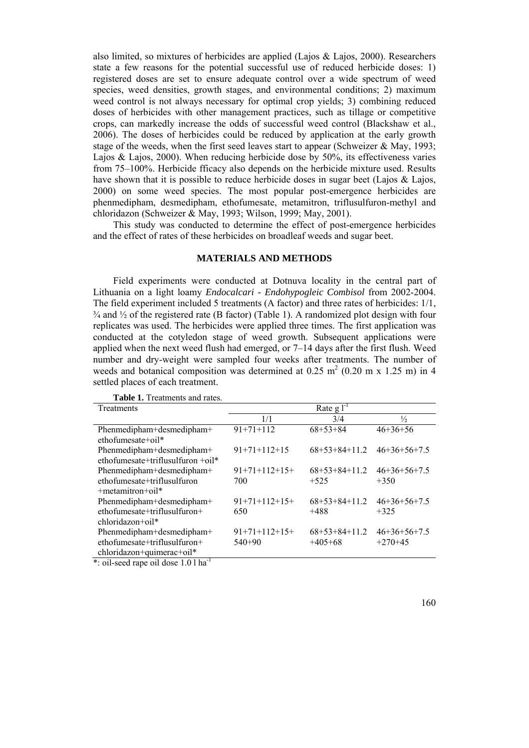also limited, so mixtures of herbicides are applied (Lajos & Lajos, 2000). Researchers state a few reasons for the potential successful use of reduced herbicide doses: 1) registered doses are set to ensure adequate control over a wide spectrum of weed species, weed densities, growth stages, and environmental conditions; 2) maximum weed control is not always necessary for optimal crop yields; 3) combining reduced doses of herbicides with other management practices, such as tillage or competitive crops, can markedly increase the odds of successful weed control (Blackshaw et al., 2006). The doses of herbicides could be reduced by application at the early growth stage of the weeds, when the first seed leaves start to appear (Schweizer & May, 1993; Lajos & Lajos, 2000). When reducing herbicide dose by 50%, its effectiveness varies from 75–100%. Herbicide fficacy also depends on the herbicide mixture used. Results have shown that it is possible to reduce herbicide doses in sugar beet (Lajos  $\&$  Lajos, 2000) on some weed species. The most popular post-emergence herbicides are phenmedipham, desmedipham, ethofumesate, metamitron, triflusulfuron-methyl and chloridazon (Schweizer & May, 1993; Wilson, 1999; May, 2001).

This study was conducted to determine the effect of post-emergence herbicides and the effect of rates of these herbicides on broadleaf weeds and sugar beet.

### **MATERIALS AND METHODS**

Field experiments were conducted at Dotnuva locality in the central part of Lithuania on a light loamy *Endocalcari - Endohypogleic Combisol* from 2002-2004. The field experiment included 5 treatments (A factor) and three rates of herbicides: 1/1,  $\frac{3}{4}$  and  $\frac{1}{2}$  of the registered rate (B factor) (Table 1). A randomized plot design with four replicates was used. The herbicides were applied three times. The first application was conducted at the cotyledon stage of weed growth. Subsequent applications were applied when the next weed flush had emerged, or 7–14 days after the first flush. Weed number and dry-weight were sampled four weeks after treatments. The number of weeds and botanical composition was determined at  $0.25 \text{ m}^2$  (0.20 m x 1.25 m) in 4 settled places of each treatment.

| Treatments                        | Rate $g l^{-1}$ |                 |                |  |  |
|-----------------------------------|-----------------|-----------------|----------------|--|--|
|                                   | 1/1             | 3/4             | $\frac{1}{2}$  |  |  |
| Phenmedipham+desmedipham+         | $91+71+112$     | $68+53+84$      | $46 + 36 + 56$ |  |  |
| $ethofumesate+oil*$               |                 |                 |                |  |  |
| Phenmedipham+desmedipham+         | $91+71+112+15$  | $68+53+84+11.2$ | $46+36+56+7.5$ |  |  |
| ethofumesate+triflusulfuron +oil* |                 |                 |                |  |  |
| Phenmedipham+desmedipham+         | $91+71+112+15+$ | $68+53+84+11.2$ | $46+36+56+7.5$ |  |  |
| ethofumesate+triflusulfuron       | 700             | $+525$          | $+350$         |  |  |
| $+$ metamitron $+$ oil $*$        |                 |                 |                |  |  |
| Phenmedipham+desmedipham+         | $91+71+112+15+$ | $68+53+84+11.2$ | $46+36+56+7.5$ |  |  |
| $ethofumesate+triflusulfuron+$    | 650             | $+488$          | $+325$         |  |  |
| $chloridazon+oil*$                |                 |                 |                |  |  |
| Phenmedipham+desmedipham+         | $91+71+112+15+$ | $68+53+84+11.2$ | $46+36+56+7.5$ |  |  |
| $ethofumesate+triflusulfuron+$    | $540+90$        | $+405+68$       | $+270+45$      |  |  |
| chloridazon+quimerac+oil*         |                 |                 |                |  |  |

**Table 1.** Treatments and rates.

\*: oil-seed rape oil dose 1.0 l ha-1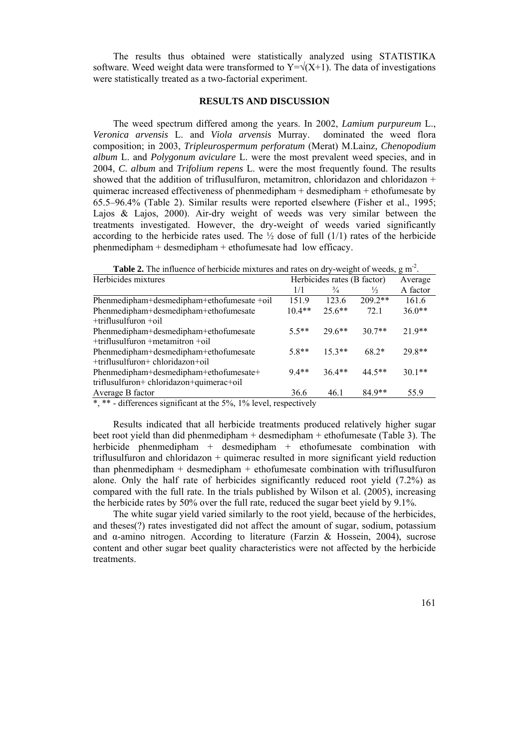The results thus obtained were statistically analyzed using STATISTIKA software. Weed weight data were transformed to  $Y=\sqrt{(X+1)}$ . The data of investigations were statistically treated as a two-factorial experiment.

### **RESULTS AND DISCUSSION**

The weed spectrum differed among the years. In 2002, *Lamium purpureum* L., *Veronica arvensis* L. and *Viola arvensis* Murray. dominated the weed flora composition; in 2003, *Tripleurospermum perforatum* (Merat) M.Lainz*, Chenopodium album* L. and *Polygonum aviculare* L. were the most prevalent weed species, and in 2004, *C. album* and *Trifolium repens* L. were the most frequently found. The results showed that the addition of triflusulfuron, metamitron, chloridazon and chloridazon  $+$ quimerac increased effectiveness of phenmedipham + desmedipham + ethofumesate by 65.5–96.4% (Table 2). Similar results were reported elsewhere (Fisher et al., 1995; Lajos & Lajos, 2000). Air-dry weight of weeds was very similar between the treatments investigated. However, the dry-weight of weeds varied significantly according to the herbicide rates used. The  $\frac{1}{2}$  dose of full (1/1) rates of the herbicide phenmedipham + desmedipham + ethofumesate had low efficacy.

**Table 2.** The influence of herbicide mixtures and rates on drv-weight of weeds, g m<sup>-2</sup>.

| Herbicides mixtures                        | Herbicides rates (B factor) |               |               | Average  |
|--------------------------------------------|-----------------------------|---------------|---------------|----------|
|                                            | 1/1                         | $\frac{3}{4}$ | $\frac{1}{2}$ | A factor |
| Phenmedipham+desmedipham+ethofumesate +oil | 151.9                       | 123.6         | $209.2**$     | 161.6    |
| Phenmedipham+desmedipham+ethofumesate      | $10.4**$                    | $25.6***$     | 72.1          | $36.0**$ |
| $+$ triflusulfuron $+$ oil                 |                             |               |               |          |
| Phenmedipham+desmedipham+ethofumesate      | $5.5**$                     | $29.6**$      | $307**$       | $21.9**$ |
| $+$ triflusulfuron $+$ metamitron $+$ oil  |                             |               |               |          |
| Phenmedipham+desmedipham+ethofumesate      | $5.8**$                     | $15.3**$      | $68.2*$       | $29.8**$ |
| +triflusulfuron+ chloridazon+oil           |                             |               |               |          |
| Phenmedipham+desmedipham+ethofumesate+     | $9.4**$                     | $36.4**$      | $44.5**$      | $301**$  |
| triflusulfuron+ chloridazon+quimerac+oil   |                             |               |               |          |
| Average B factor                           | 36.6                        | 46.1          | $84.9**$      | 55.9     |

 $\overline{\ast}$ ,  $\overline{\ast}$  - differences significant at the 5%, 1% level, respectively

Results indicated that all herbicide treatments produced relatively higher sugar beet root yield than did phenmedipham + desmedipham + ethofumesate (Table 3). The herbicide phenmedipham + desmedipham + ethofumesate combination with triflusulfuron and chloridazon + quimerac resulted in more significant yield reduction than phenmedipham + desmedipham + ethofumesate combination with triflusulfuron alone. Only the half rate of herbicides significantly reduced root yield (7.2%) as compared with the full rate. In the trials published by Wilson et al. (2005), increasing the herbicide rates by 50% over the full rate, reduced the sugar beet yield by 9.1%.

The white sugar yield varied similarly to the root yield, because of the herbicides, and theses(?) rates investigated did not affect the amount of sugar, sodium, potassium and  $\alpha$ -amino nitrogen. According to literature (Farzin & Hossein, 2004), sucrose content and other sugar beet quality characteristics were not affected by the herbicide treatments.